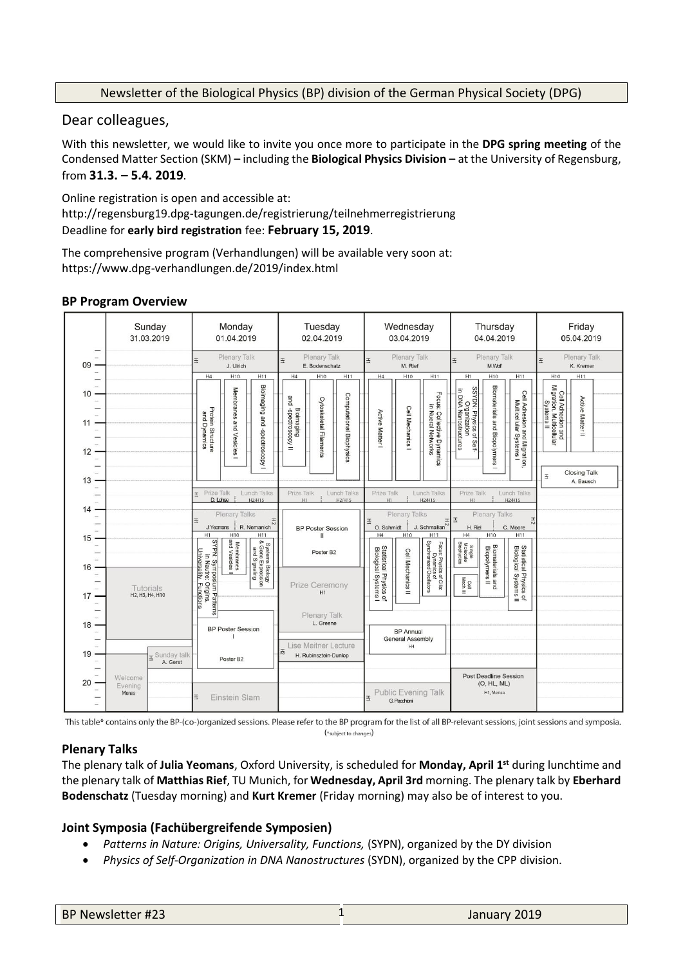## Newsletter of the Biological Physics (BP) division of the German Physical Society (DPG)

Dear colleagues,

With this newsletter, we would like to invite you once more to participate in the **DPG spring meeting** of the Condensed Matter Section (SKM) **–** including the **Biological Physics Division –** at the University of Regensburg, from **31.3. – 5.4. 2019**.

Online registration is open and accessible at: http://regensburg19.dpg-tagungen.de/registrierung/teilnehmerregistrierung Deadline for **early bird registration** fee: **February 15, 2019**.

The comprehensive program (Verhandlungen) will be available very soon at: https://www.dpg-verhandlungen.de/2019/index.html

## **BP Program Overview**



This table\* contains only the BP-(co-)organized sessions. Please refer to the BP program for the list of all BP-relevant sessions, joint sessions and symposia. (\*subject to changes)

## **Plenary Talks**

The plenary talk of **Julia Yeomans**, Oxford University, is scheduled for **Monday, April 1st** during lunchtime and the plenary talk of **Matthias Rief**, TU Munich, for **Wednesday, April 3rd** morning. The plenary talk by **Eberhard Bodenschatz** (Tuesday morning) and **Kurt Kremer** (Friday morning) may also be of interest to you.

# **Joint Symposia (Fachübergreifende Symposien)**

- *Patterns in Nature: Origins, Universality, Functions,* (SYPN), organized by the DY division
- *Physics of Self-Organization in DNA Nanostructures* (SYDN), organized by the CPP division.